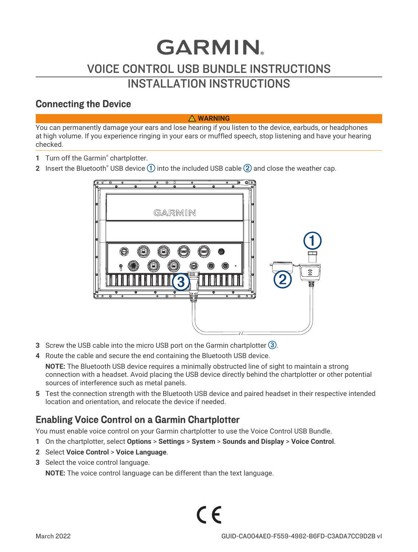# **GARMIN** VOICE CONTROL USB BUNDLE INSTRUCTIONS INSTALLATION INSTRUCTIONS

#### Connecting the Device

#### **WARNING**

You can permanently damage your ears and lose hearing if you listen to the device, earbuds, or headphones at high volume. If you experience ringing in your ears or muffled speech, stop listening and have your hearing checked.

- 1 Turn off the Garmin<sup>®</sup> chartplotter.
- **2** Insert the Bluetooth® USB device  $(1)$  into the included USB cable  $(2)$  and close the weather cap.



- **3** Screw the USB cable into the micro USB port on the Garmin chartplotter  $(3)$ .
- **4** Route the cable and secure the end containing the Bluetooth USB device.

**NOTE:** The Bluetooth USB device requires a minimally obstructed line of sight to maintain a strong connection with a headset. Avoid placing the USB device directly behind the chartplotter or other potential sources of interference such as metal panels.

**5** Test the connection strength with the Bluetooth USB device and paired headset in their respective intended location and orientation, and relocate the device if needed.

### Enabling Voice Control on a Garmin Chartplotter

You must enable voice control on your Garmin chartplotter to use the Voice Control USB Bundle.

- **1** On the chartplotter, select **Options** > **Settings** > **System** > **Sounds and Display** > **Voice Control**.
- **2** Select **Voice Control** > **Voice Language**.
- **3** Select the voice control language.

**NOTE:** The voice control language can be different than the text language.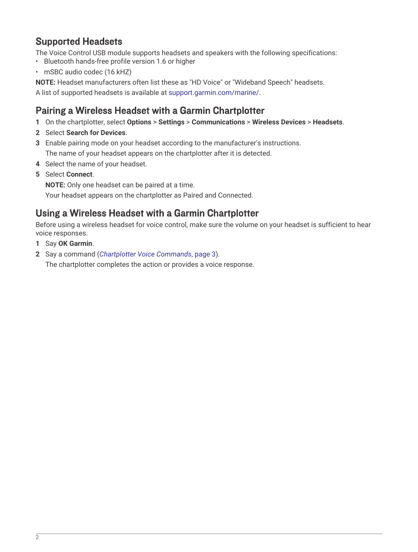#### Supported Headsets

The Voice Control USB module supports headsets and speakers with the following specifications:

- Bluetooth hands-free profile version 1.6 or higher
- mSBC audio codec (16 kHZ)

**NOTE:** Headset manufacturers often list these as "HD Voice" or "Wideband Speech" headsets.

A list of supported headsets is available at [support.garmin.com/marine/.](http://support.garmin.com/marine/)

#### Pairing a Wireless Headset with a Garmin Chartplotter

- **1** On the chartplotter, select **Options** > **Settings** > **Communications** > **Wireless Devices** > **Headsets**.
- **2** Select **Search for Devices**.
- **3** Enable pairing mode on your headset according to the manufacturer's instructions. The name of your headset appears on the chartplotter after it is detected.
- **4** Select the name of your headset.
- **5** Select **Connect**.

**NOTE:** Only one headset can be paired at a time.

Your headset appears on the chartplotter as Paired and Connected.

#### Using a Wireless Headset with a Garmin Chartplotter

Before using a wireless headset for voice control, make sure the volume on your headset is sufficient to hear voice responses.

- **1** Say **OK Garmin**.
- **2** Say a command (*[Chartplotter Voice Commands](#page-2-0)*, page 3).

The chartplotter completes the action or provides a voice response.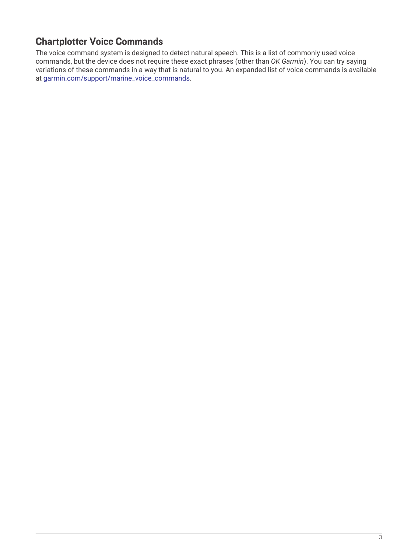#### <span id="page-2-0"></span>Chartplotter Voice Commands

The voice command system is designed to detect natural speech. This is a list of commonly used voice commands, but the device does not require these exact phrases (other than *OK Garmin*). You can try saying variations of these commands in a way that is natural to you. An expanded list of voice commands is available at [garmin.com/support/marine\\_voice\\_commands.](htttp://garmin.com/support/marine_voice_commands)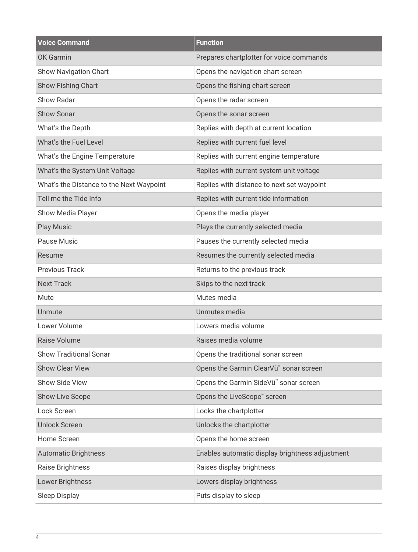| <b>Voice Command</b>                     | <b>Function</b>                                    |
|------------------------------------------|----------------------------------------------------|
| <b>OK Garmin</b>                         | Prepares chartplotter for voice commands           |
| Show Navigation Chart                    | Opens the navigation chart screen                  |
| Show Fishing Chart                       | Opens the fishing chart screen                     |
| Show Radar                               | Opens the radar screen                             |
| Show Sonar                               | Opens the sonar screen                             |
| What's the Depth                         | Replies with depth at current location             |
| What's the Fuel Level                    | Replies with current fuel level                    |
| What's the Engine Temperature            | Replies with current engine temperature            |
| What's the System Unit Voltage           | Replies with current system unit voltage           |
| What's the Distance to the Next Waypoint | Replies with distance to next set waypoint         |
| Tell me the Tide Info                    | Replies with current tide information              |
| Show Media Player                        | Opens the media player                             |
| <b>Play Music</b>                        | Plays the currently selected media                 |
| Pause Music                              | Pauses the currently selected media                |
| Resume                                   | Resumes the currently selected media               |
| <b>Previous Track</b>                    | Returns to the previous track                      |
| <b>Next Track</b>                        | Skips to the next track                            |
| Mute                                     | Mutes media                                        |
| Unmute                                   | Unmutes media                                      |
| Lower Volume                             | Lowers media volume                                |
| Raise Volume                             | Raises media volume                                |
| <b>Show Traditional Sonar</b>            | Opens the traditional sonar screen                 |
| <b>Show Clear View</b>                   | Opens the Garmin ClearVü <sup>™</sup> sonar screen |
| Show Side View                           | Opens the Garmin SideVü" sonar screen              |
| Show Live Scope                          | Opens the LiveScope" screen                        |
| Lock Screen                              | Locks the chartplotter                             |
| <b>Unlock Screen</b>                     | Unlocks the chartplotter                           |
| Home Screen                              | Opens the home screen                              |
| <b>Automatic Brightness</b>              | Enables automatic display brightness adjustment    |
| Raise Brightness                         | Raises display brightness                          |
| Lower Brightness                         | Lowers display brightness                          |
| Sleep Display                            | Puts display to sleep                              |